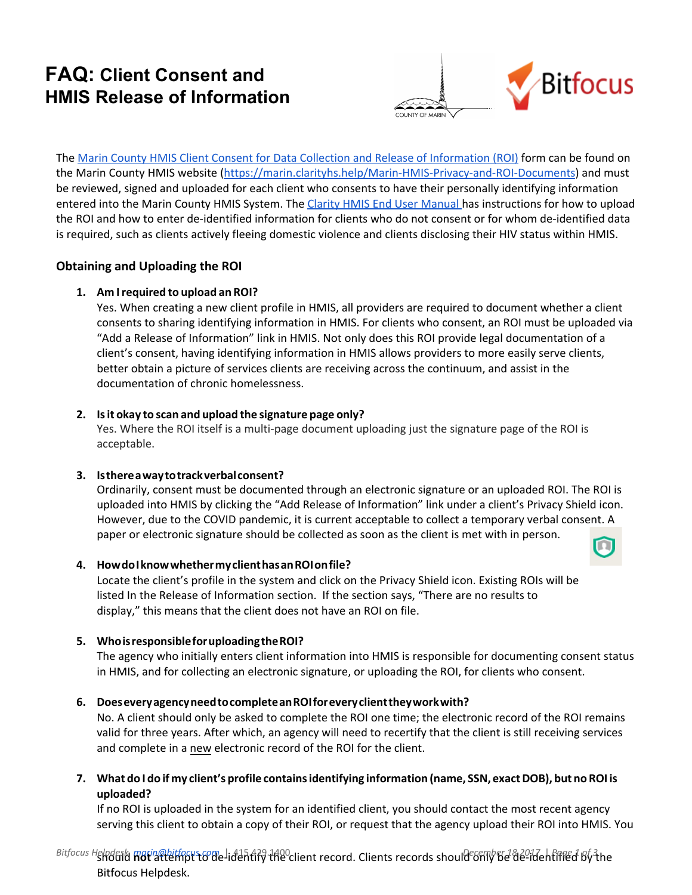# **FAQ: Client Consent and HMIS Release of Information**



The Marin County HMIS Client Consent for Data Collection and Release of [Information](https://marin.clarityhs.help/hc/en-us/article_attachments/115013456968/Marin_County_HMIS_Client_Consent_for_Data_Collection_and_Release_of_Information_2017-05-10.pdf) (ROI) form can be found on the Marin County HMIS website [\(https://marin.clarityhs.help/Marin-HMIS-Privacy-and-ROI-Documents](https://marin.clarityhs.help/hc/en-us/articles/115007670847-Marin-HMIS-Privacy-and-ROI-Documents)) and must be reviewed, signed and uploaded for each client who consents to have their personally identifying information entered into the Marin County HMIS System. The Clarity HMIS End User [Manual](https://get.clarityhs.help/hc/en-us/articles/115000411427-Release-of-Information-Overview) has instructions for how to upload the ROI and how to enter de-identified information for clients who do not consent or for whom de-identified data is required, such as clients actively fleeing domestic violence and clients disclosing their HIV status within HMIS.

## **Obtaining and Uploading the ROI**

### **1. Am I required to upload an ROI?**

Yes. When creating a new client profile in HMIS, all providers are required to document whether a client consents to sharing identifying information in HMIS. For clients who consent, an ROI must be uploaded via "Add a Release of Information" link in HMIS. Not only does this ROI provide legal documentation of a client's consent, having identifying information in HMIS allows providers to more easily serve clients, better obtain a picture of services clients are receiving across the continuum, and assist in the documentation of chronic homelessness.

#### **2. Is it okayto scan and upload thesignature page only?**

Yes. Where the ROI itself is a multi-page document uploading just the signature page of the ROI is acceptable.

### **3. Isthere away to track verbalconsent?**

Ordinarily, consent must be documented through an electronic signature or an uploaded ROI. The ROI is uploaded into HMIS by clicking the "Add Release of Information" link under a client's Privacy Shield icon. However, due to the COVID pandemic, it is current acceptable to collect a temporary verbal consent. A paper or electronic signature should be collected as soon as the client is met with in person.

### **4. Howdo I know whethermy client has an ROI on file?**

Locate the client's profile in the system and click on the Privacy Shield icon. Existing ROIs will be listed In the Release of Information section. If the section says, "There are no results to display," this means that the client does not have an ROI on file.

### **5. Whois responsiblefor uploading the ROI?**

The agency who initially enters client information into HMIS is responsible for documenting consent status in HMIS, and for collecting an electronic signature, or uploading the ROI, for clients who consent.

### **6. Doesevery agency needto complete an ROI for every client they work with?**

No. A client should only be asked to complete the ROI one time; the electronic record of the ROI remains valid for three years. After which, an agency will need to recertify that the client is still receiving services and complete in a new electronic record of the ROI for the client.

7. What do I do if my client's profile contains identifying information (name, SSN, exact DOB), but no ROI is **uploaded?**

If no ROI is uploaded in the system for an identified client, you should contact the most recent agency serving this client to obtain a copy of their ROI, or request that the agency upload their ROI into HMIS. You

<sup>Bitfocus Helnderk marin@bitfocust&me<sup>l</sup>identify the<sup>o</sup>client record. Clients records should<sup>e</sup>6f11y6d 8de-identified by the</sup> Bitfocus Helpdesk.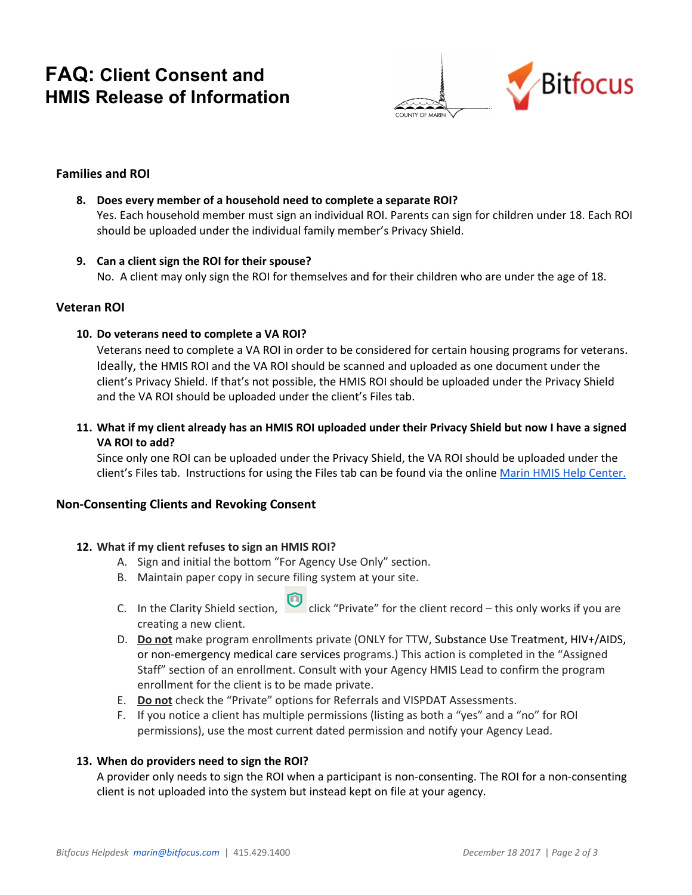# **FAQ: Client Consent and HMIS Release of Information**



## **Families and ROI**

#### **8. Does every member of a household need to complete a separate ROI?**

Yes. Each household member must sign an individual ROI. Parents can sign for children under 18. Each ROI should be uploaded under the individual family member's Privacy Shield.

#### **9. Can a client sign the ROI for their spouse?**

No. A client may only sign the ROI for themselves and for their children who are under the age of 18.

#### **Veteran ROI**

#### **10. Do veterans need to complete a VA ROI?**

Veterans need to complete a VA ROI in order to be considered for certain housing programs for veterans. Ideally, the HMIS ROI and the VA ROI should be scanned and uploaded as one document under the client's Privacy Shield. If that's not possible, the HMIS ROI should be uploaded under the Privacy Shield and the VA ROI should be uploaded under the client's Files tab.

11. What if my client already has an HMIS ROI uploaded under their Privacy Shield but now I have a signed **VA ROI to add?**

Since only one ROI can be uploaded under the Privacy Shield, the VA ROI should be uploaded under the client's Files tab. Instructions for using the Files tab can be found via the online Marin HMIS Help [Center.](https://marin.clarityhs.help/hc/en-us)

#### **Non-Consenting Clients and Revoking Consent**

#### **12. What if my client refuses to sign an HMIS ROI?**

- A. Sign and initial the bottom "For Agency Use Only" section.
- B. Maintain paper copy in secure filing system at your site.
- C. In the Clarity Shield section,  $\Box$  click "Private" for the client record this only works if you are creating a new client.
- D. **Do not** make program enrollments private (ONLY for TTW, Substance Use Treatment, HIV+/AIDS, or non-emergency medical care services programs.) This action is completed in the "Assigned Staff" section of an enrollment. Consult with your Agency HMIS Lead to confirm the program enrollment for the client is to be made private.
- E. **Do not** check the "Private" options for Referrals and VISPDAT Assessments.
- F. If you notice a client has multiple permissions (listing as both a "yes" and a "no" for ROI permissions), use the most current dated permission and notify your Agency Lead.

#### **13. When do providers need to sign the ROI?**

A provider only needs to sign the ROI when a participant is non-consenting. The ROI for a non-consenting client is not uploaded into the system but instead kept on file at your agency.